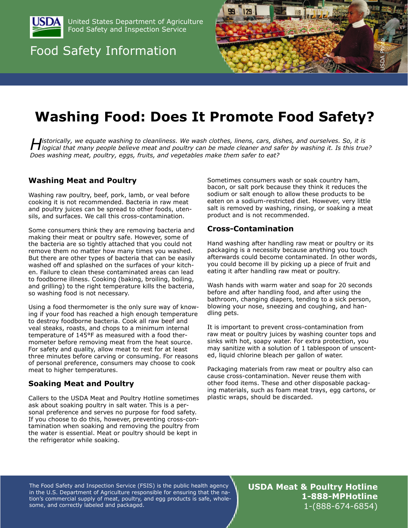

United States Department of Agriculture Food Safety and Inspection Service

## Food Safety Information



# **Washing Food: Does It Promote Food Safety?**

**Historically, we equate washing to cleanliness.** We wash clothes, linens, cars, dishes, and ourselves. So, it is<br>Hogical that many people believe meat and poultry can be made cleaner and safer by washing it. Is this true? *Does washing meat, poultry, eggs, fruits, and vegetables make them safer to eat?*

#### **Washing Meat and Poultry**

Washing raw poultry, beef, pork, lamb, or veal before cooking it is not recommended. Bacteria in raw meat and poultry juices can be spread to other foods, utensils, and surfaces. We call this cross-contamination.

Some consumers think they are removing bacteria and making their meat or poultry safe. However, some of the bacteria are so tightly attached that you could not remove them no matter how many times you washed. But there are other types of bacteria that can be easily washed off and splashed on the surfaces of your kitchen. Failure to clean these contaminated areas can lead to foodborne illness. Cooking (baking, broiling, boiling, and grilling) to the right temperature kills the bacteria, so washing food is not necessary.

Using a food thermometer is the only sure way of knowing if your food has reached a high enough temperature to destroy foodborne bacteria. Cook all raw beef and veal steaks, roasts, and chops to a minimum internal temperature of 145°F as measured with a food thermometer before removing meat from the heat source. For safety and quality, allow meat to rest for at least three minutes before carving or consuming. For reasons of personal preference, consumers may choose to cook meat to higher temperatures.

#### **Soaking Meat and Poultry**

Callers to the USDA Meat and Poultry Hotline sometimes ask about soaking poultry in salt water. This is a personal preference and serves no purpose for food safety. If you choose to do this, however, preventing cross-contamination when soaking and removing the poultry from the water is essential. Meat or poultry should be kept in the refrigerator while soaking.

Sometimes consumers wash or soak country ham, bacon, or salt pork because they think it reduces the sodium or salt enough to allow these products to be eaten on a sodium-restricted diet. However, very little salt is removed by washing, rinsing, or soaking a meat product and is not recommended.

#### **Cross-Contamination**

Hand washing after handling raw meat or poultry or its packaging is a necessity because anything you touch afterwards could become contaminated. In other words, you could become ill by picking up a piece of fruit and eating it after handling raw meat or poultry.

Wash hands with warm water and soap for 20 seconds before and after handling food, and after using the bathroom, changing diapers, tending to a sick person, blowing your nose, sneezing and coughing, and handling pets.

It is important to prevent cross-contamination from raw meat or poultry juices by washing counter tops and sinks with hot, soapy water. For extra protection, you may sanitize with a solution of 1 tablespoon of unscented, liquid chlorine bleach per gallon of water.

Packaging materials from raw meat or poultry also can cause cross-contamination. Never reuse them with other food items. These and other disposable packaging materials, such as foam meat trays, egg cartons, or plastic wraps, should be discarded.

The Food Safety and Inspection Service (FSIS) is the public health agency in the U.S. Department of Agriculture responsible for ensuring that the nation's commercial supply of meat, poultry, and egg products is safe, wholesome, and correctly labeled and packaged.

**USDA Meat & Poultry Hotline 1-888-MPHotline** 1-(888-674-6854)